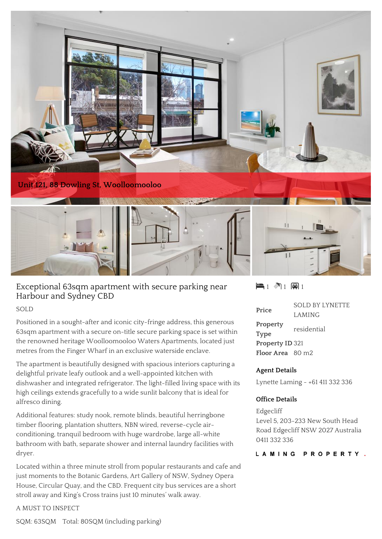

# Exceptional 63sqm apartment with secure parking near Harbour and Sydney CBD

#### SOLD

Positioned in a sought-after and iconic city-fringe address, this generous 63sqm apartment with a secure on-title secure parking space is set within the renowned heritage Woolloomooloo Waters Apartments, located just metres from the Finger Wharf in an exclusive waterside enclave.

The apartment is beautifully designed with spacious interiors capturing a delightful private leafy outlook and a well-appointed kitchen with dishwasher and integrated refrigerator. The light-filled living space with its high ceilings extends gracefully to a wide sunlit balcony that is ideal for alfresco dining.

Additional features: study nook, remote blinds, beautiful herringbone timber flooring, plantation shutters, NBN wired, reverse-cycle airconditioning, tranquil bedroom with huge wardrobe, large all-white bathroom with bath, separate shower and internal laundry facilities with dryer.

Located within a three minute stroll from popular restaurants and cafe and just moments to the Botanic Gardens, Art Gallery of NSW, Sydney Opera House, Circular Quay, and the CBD. Frequent city bus services are a short stroll away and King's Cross trains just 10 minutes' walk away.

A MUST TO INSPECT

SQM: 63SQM Total: 80SQM (including parking)

 $\blacksquare$  1  $\blacksquare$  1  $\blacksquare$  1

| Price                        | <b>SOLD BY LYNETTE</b> |
|------------------------------|------------------------|
|                              | LAMING                 |
| Property                     | residential            |
| <b>Type</b>                  |                        |
| Property ID 321              |                        |
| Floor Area 80 m <sub>2</sub> |                        |

### **Agent Details**

Lynette Laming - +61 411 332 336

### **Office Details**

Edgecliff Level 5, 203-233 New South Head Road Edgecliff NSW 2027 Australia 0411 332 336

LAMING PROPERTY.